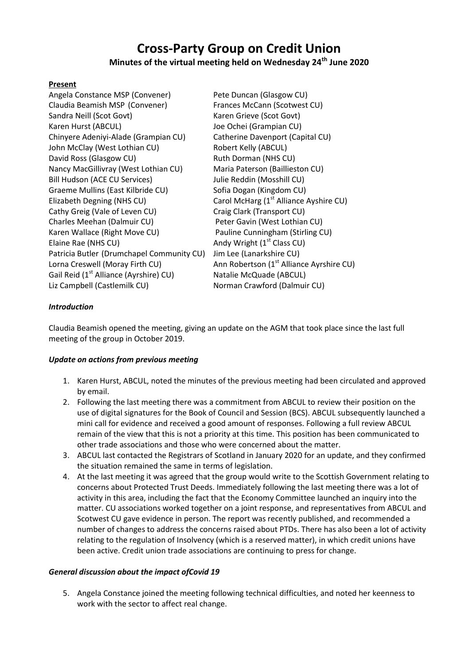# **Cross-Party Group on Credit Union**

## **Minutes of the virtual meeting held on Wednesday 24th June 2020**

#### **Present**

| Pete Duncan (Glasgow CU)                             |
|------------------------------------------------------|
| Frances McCann (Scotwest CU)                         |
| Karen Grieve (Scot Govt)                             |
| Joe Ochei (Grampian CU)                              |
| Catherine Davenport (Capital CU)                     |
| Robert Kelly (ABCUL)                                 |
| Ruth Dorman (NHS CU)                                 |
| Maria Paterson (Baillieston CU)                      |
| Julie Reddin (Mosshill CU)                           |
| Sofia Dogan (Kingdom CU)                             |
| Carol McHarg (1 <sup>st</sup> Alliance Ayshire CU)   |
| Craig Clark (Transport CU)                           |
| Peter Gavin (West Lothian CU)                        |
| Pauline Cunningham (Stirling CU)                     |
| Andy Wright (1 <sup>st</sup> Class CU)               |
| Jim Lee (Lanarkshire CU)                             |
| Ann Robertson (1 <sup>st</sup> Alliance Ayrshire CU) |
| Natalie McQuade (ABCUL)                              |
| Norman Crawford (Dalmuir CU)                         |
|                                                      |

### *Introduction*

Claudia Beamish opened the meeting, giving an update on the AGM that took place since the last full meeting of the group in October 2019.

### *Update on actions from previous meeting*

- 1. Karen Hurst, ABCUL, noted the minutes of the previous meeting had been circulated and approved by email.
- 2. Following the last meeting there was a commitment from ABCUL to review their position on the use of digital signatures for the Book of Council and Session (BCS). ABCUL subsequently launched a mini call for evidence and received a good amount of responses. Following a full review ABCUL remain of the view that this is not a priority at this time. This position has been communicated to other trade associations and those who were concerned about the matter.
- 3. ABCUL last contacted the Registrars of Scotland in January 2020 for an update, and they confirmed the situation remained the same in terms of legislation.
- 4. At the last meeting it was agreed that the group would write to the Scottish Government relating to concerns about Protected Trust Deeds. Immediately following the last meeting there was a lot of activity in this area, including the fact that the Economy Committee launched an inquiry into the matter. CU associations worked together on a joint response, and representatives from ABCUL and Scotwest CU gave evidence in person. The report was recently published, and recommended a number of changes to address the concerns raised about PTDs. There has also been a lot of activity relating to the regulation of Insolvency (which is a reserved matter), in which credit unions have been active. Credit union trade associations are continuing to press for change.

### *General discussion about the impact ofCovid 19*

5. Angela Constance joined the meeting following technical difficulties, and noted her keenness to work with the sector to affect real change.